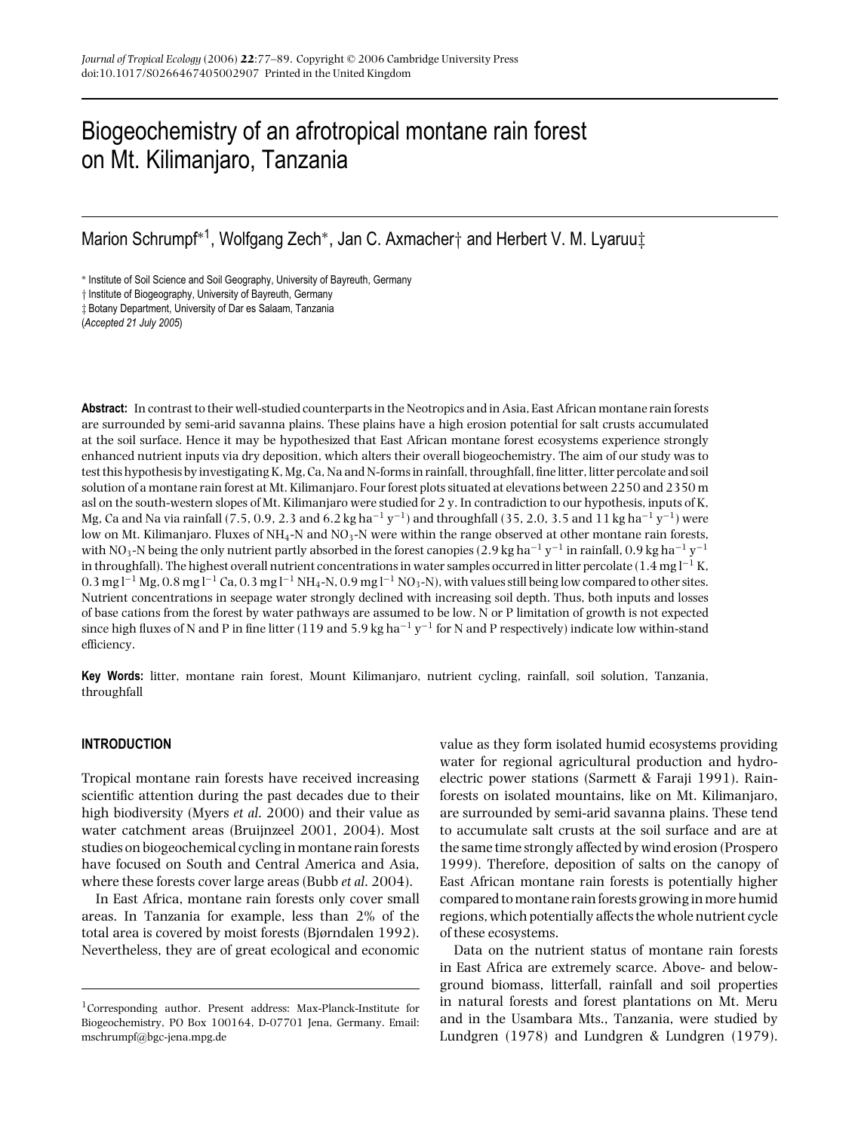# Biogeochemistry of an afrotropical montane rain forest on Mt. Kilimanjaro, Tanzania

Marion Schrumpf∗<sup>1</sup> , Wolfgang Zech∗, Jan C. Axmacher† and Herbert V. M. Lyaruu‡

∗ Institute of Soil Science and Soil Geography, University of Bayreuth, Germany

† Institute of Biogeography, University of Bayreuth, Germany

‡ Botany Department, University of Dar es Salaam, Tanzania

(*Accepted 21 July 2005*)

**Abstract:** In contrast to their well-studied counterparts in the Neotropics and in Asia, East African montane rain forests are surrounded by semi-arid savanna plains. These plains have a high erosion potential for salt crusts accumulated at the soil surface. Hence it may be hypothesized that East African montane forest ecosystems experience strongly enhanced nutrient inputs via dry deposition, which alters their overall biogeochemistry. The aim of our study was to test this hypothesis by investigating K, Mg, Ca, Na and N-forms in rainfall, throughfall, fine litter, litter percolate and soil solution of a montane rain forest at Mt. Kilimanjaro. Four forest plots situated at elevations between 2250 and 2350 m asl on the south-western slopes of Mt. Kilimanjaro were studied for 2 y. In contradiction to our hypothesis, inputs of K, Mg, Ca and Na via rainfall (7.5, 0.9, 2.3 and 6.2 kg ha<sup>-1</sup> y<sup>-1</sup>) and throughfall (35, 2.0, 3.5 and 11 kg ha<sup>-1</sup> y<sup>-1</sup>) were low on Mt. Kilimanjaro. Fluxes of NH<sub>4</sub>-N and NO<sub>3</sub>-N were within the range observed at other montane rain forests, with NO<sub>3</sub>-N being the only nutrient partly absorbed in the forest canopies (2.9 kg ha<sup>-1</sup> y<sup>-1</sup> in rainfall, 0.9 kg ha<sup>-1</sup> y<sup>-1</sup> in throughfall). The highest overall nutrient concentrations in water samples occurred in litter percolate (1.4 mg l<sup>−1</sup> K,  $0.3$  mg l<sup>−1</sup> Mg,  $0.8$  mg l<sup>−1</sup> Ca,  $0.3$  mg l<sup>−1</sup> NH<sub>4</sub>-N,  $0.9$  mg l<sup>−1</sup> NO<sub>3</sub>-N), with values still being low compared to other sites. Nutrient concentrations in seepage water strongly declined with increasing soil depth. Thus, both inputs and losses of base cations from the forest by water pathways are assumed to be low. N or P limitation of growth is not expected since high fluxes of N and P in fine litter (119 and 5.9 kg ha<sup>-1</sup> y<sup>-1</sup> for N and P respectively) indicate low within-stand efficiency.

**Key Words:** litter, montane rain forest, Mount Kilimanjaro, nutrient cycling, rainfall, soil solution, Tanzania, throughfall

# **INTRODUCTION**

Tropical montane rain forests have received increasing scientific attention during the past decades due to their high biodiversity (Myers *et al*. 2000) and their value as water catchment areas (Bruijnzeel 2001, 2004). Most studies on biogeochemical cycling in montane rain forests have focused on South and Central America and Asia, where these forests cover large areas (Bubb *et al*. 2004).

In East Africa, montane rain forests only cover small areas. In Tanzania for example, less than 2% of the total area is covered by moist forests (Bjørndalen 1992). Nevertheless, they are of great ecological and economic value as they form isolated humid ecosystems providing water for regional agricultural production and hydroelectric power stations (Sarmett & Faraji 1991). Rainforests on isolated mountains, like on Mt. Kilimanjaro, are surrounded by semi-arid savanna plains. These tend to accumulate salt crusts at the soil surface and are at the same time strongly affected by wind erosion (Prospero 1999). Therefore, deposition of salts on the canopy of East African montane rain forests is potentially higher compared tomontane rain forests growing inmore humid regions, which potentially affects the whole nutrient cycle of these ecosystems.

Data on the nutrient status of montane rain forests in East Africa are extremely scarce. Above- and belowground biomass, litterfall, rainfall and soil properties in natural forests and forest plantations on Mt. Meru and in the Usambara Mts., Tanzania, were studied by Lundgren (1978) and Lundgren & Lundgren (1979).

<sup>1</sup>Corresponding author. Present address: Max-Planck-Institute for Biogeochemistry, PO Box 100164, D-07701 Jena, Germany. Email: mschrumpf@bgc-jena.mpg.de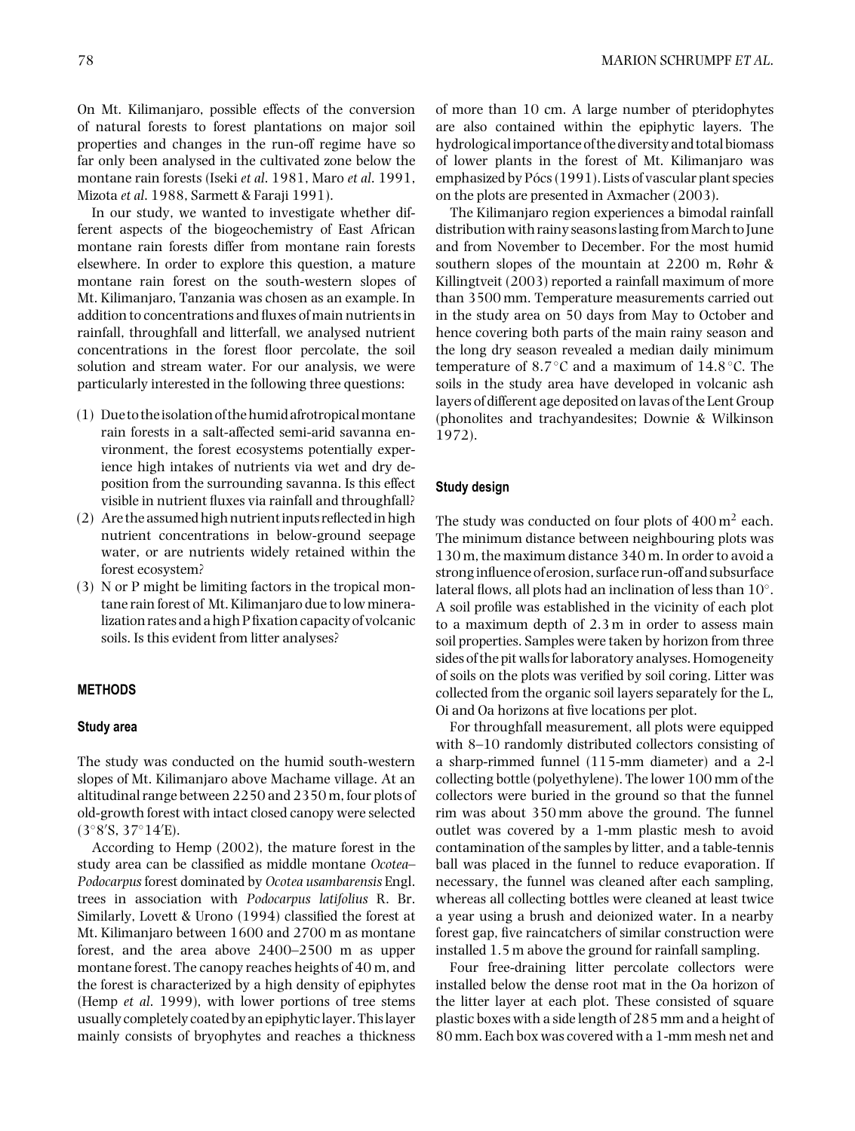On Mt. Kilimanjaro, possible effects of the conversion of natural forests to forest plantations on major soil properties and changes in the run-off regime have so far only been analysed in the cultivated zone below the montane rain forests (Iseki *et al*. 1981, Maro *et al*. 1991, Mizota *et al*. 1988, Sarmett & Faraji 1991).

In our study, we wanted to investigate whether different aspects of the biogeochemistry of East African montane rain forests differ from montane rain forests elsewhere. In order to explore this question, a mature montane rain forest on the south-western slopes of Mt. Kilimanjaro, Tanzania was chosen as an example. In addition to concentrations and fluxes of main nutrients in rainfall, throughfall and litterfall, we analysed nutrient concentrations in the forest floor percolate, the soil solution and stream water. For our analysis, we were particularly interested in the following three questions:

- (1) Due to theisolation of thehumid afrotropicalmontane rain forests in a salt-affected semi-arid savanna environment, the forest ecosystems potentially experience high intakes of nutrients via wet and dry deposition from the surrounding savanna. Is this effect visible in nutrient fluxes via rainfall and throughfall?
- (2) Are the assumed high nutrientinputs reflectedin high nutrient concentrations in below-ground seepage water, or are nutrients widely retained within the forest ecosystem?
- (3) N or P might be limiting factors in the tropical montane rain forest of Mt. Kilimanjaro due to low mineralization rates and a high P fixation capacity of volcanic soils. Is this evident from litter analyses?

# **METHODS**

## **Study area**

The study was conducted on the humid south-western slopes of Mt. Kilimanjaro above Machame village. At an altitudinal range between 2250 and 2350 m, four plots of old-growth forest with intact closed canopy were selected (3◦8 S, 37◦14 E).

According to Hemp (2002), the mature forest in the study area can be classified as middle montane *Ocotea*– *Podocarpus* forest dominated by *Ocotea usambarensis* Engl. trees in association with *Podocarpus latifolius* R. Br. Similarly, Lovett & Urono (1994) classified the forest at Mt. Kilimanjaro between 1600 and 2700 m as montane forest, and the area above 2400–2500 m as upper montane forest. The canopy reaches heights of 40 m, and the forest is characterized by a high density of epiphytes (Hemp *et al*. 1999), with lower portions of tree stems usually completely coated by an epiphyticlayer. Thislayer mainly consists of bryophytes and reaches a thickness

of more than 10 cm. A large number of pteridophytes are also contained within the epiphytic layers. The hydrologicalimportance of the diversity and total biomass of lower plants in the forest of Mt. Kilimanjaro was emphasized by Pócs (1991). Lists of vascular plant species on the plots are presented in Axmacher (2003).

The Kilimanjaro region experiences a bimodal rainfall distribution with rainy seasons lasting from March to June and from November to December. For the most humid southern slopes of the mountain at 2200 m, Røhr & Killingtveit (2003) reported a rainfall maximum of more than 3500 mm. Temperature measurements carried out in the study area on 50 days from May to October and hence covering both parts of the main rainy season and the long dry season revealed a median daily minimum temperature of 8.7◦C and a maximum of 14.8◦C. The soils in the study area have developed in volcanic ash layers of different age deposited on lavas of the Lent Group (phonolites and trachyandesites; Downie & Wilkinson 1972).

# **Study design**

The study was conducted on four plots of  $400 \text{ m}^2$  each. The minimum distance between neighbouring plots was 130 m, the maximum distance 340 m. In order to avoid a strong influence of erosion, surface run-off and subsurface lateral flows, all plots had an inclination of less than 10◦. A soil profile was established in the vicinity of each plot to a maximum depth of 2.3 m in order to assess main soil properties. Samples were taken by horizon from three sides of the pit walls for laboratory analyses. Homogeneity of soils on the plots was verified by soil coring. Litter was collected from the organic soil layers separately for the L, Oi and Oa horizons at five locations per plot.

For throughfall measurement, all plots were equipped with 8–10 randomly distributed collectors consisting of a sharp-rimmed funnel (115-mm diameter) and a 2-l collecting bottle (polyethylene). The lower 100 mm of the collectors were buried in the ground so that the funnel rim was about 350 mm above the ground. The funnel outlet was covered by a 1-mm plastic mesh to avoid contamination of the samples by litter, and a table-tennis ball was placed in the funnel to reduce evaporation. If necessary, the funnel was cleaned after each sampling, whereas all collecting bottles were cleaned at least twice a year using a brush and deionized water. In a nearby forest gap, five raincatchers of similar construction were installed 1.5 m above the ground for rainfall sampling.

Four free-draining litter percolate collectors were installed below the dense root mat in the Oa horizon of the litter layer at each plot. These consisted of square plastic boxes with a side length of 285 mm and a height of 80 mm. Each box was covered with a 1-mm mesh net and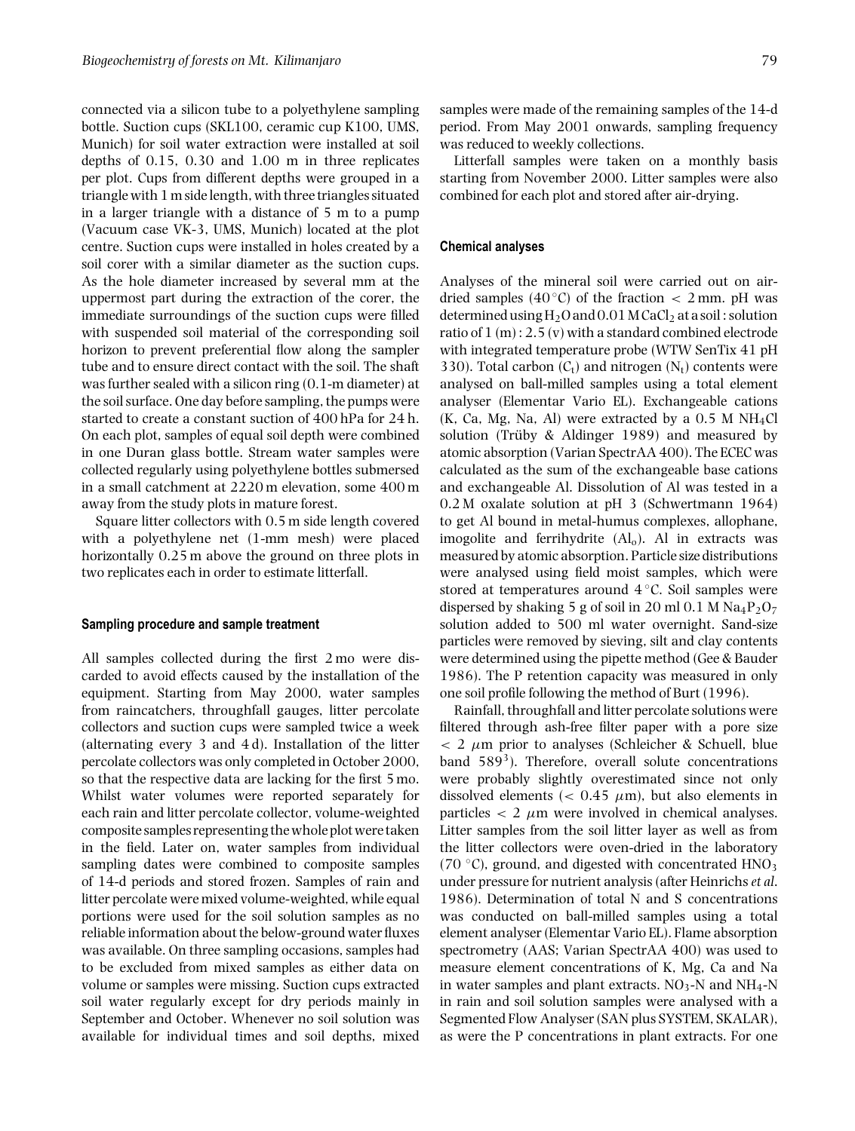connected via a silicon tube to a polyethylene sampling bottle. Suction cups (SKL100, ceramic cup K100, UMS, Munich) for soil water extraction were installed at soil depths of 0.15, 0.30 and 1.00 m in three replicates per plot. Cups from different depths were grouped in a triangle with 1 m side length, with three triangles situated in a larger triangle with a distance of 5 m to a pump (Vacuum case VK-3, UMS, Munich) located at the plot centre. Suction cups were installed in holes created by a soil corer with a similar diameter as the suction cups. As the hole diameter increased by several mm at the uppermost part during the extraction of the corer, the immediate surroundings of the suction cups were filled with suspended soil material of the corresponding soil horizon to prevent preferential flow along the sampler tube and to ensure direct contact with the soil. The shaft was further sealed with a silicon ring (0.1-m diameter) at the soil surface. One day before sampling, the pumps were started to create a constant suction of 400 hPa for 24 h. On each plot, samples of equal soil depth were combined in one Duran glass bottle. Stream water samples were collected regularly using polyethylene bottles submersed in a small catchment at 2220 m elevation, some 400 m away from the study plots in mature forest.

Square litter collectors with 0.5 m side length covered with a polyethylene net (1-mm mesh) were placed horizontally 0.25 m above the ground on three plots in two replicates each in order to estimate litterfall.

#### **Sampling procedure and sample treatment**

All samples collected during the first 2 mo were discarded to avoid effects caused by the installation of the equipment. Starting from May 2000, water samples from raincatchers, throughfall gauges, litter percolate collectors and suction cups were sampled twice a week (alternating every 3 and 4 d). Installation of the litter percolate collectors was only completed in October 2000, so that the respective data are lacking for the first 5 mo. Whilst water volumes were reported separately for each rain and litter percolate collector, volume-weighted composite samples representing thewhole plotwere taken in the field. Later on, water samples from individual sampling dates were combined to composite samples of 14-d periods and stored frozen. Samples of rain and litter percolate were mixed volume-weighted, while equal portions were used for the soil solution samples as no reliable information about the below-ground water fluxes was available. On three sampling occasions, samples had to be excluded from mixed samples as either data on volume or samples were missing. Suction cups extracted soil water regularly except for dry periods mainly in September and October. Whenever no soil solution was available for individual times and soil depths, mixed

samples were made of the remaining samples of the 14-d period. From May 2001 onwards, sampling frequency was reduced to weekly collections.

Litterfall samples were taken on a monthly basis starting from November 2000. Litter samples were also combined for each plot and stored after air-drying.

#### **Chemical analyses**

Analyses of the mineral soil were carried out on airdried samples (40 °C) of the fraction  $\langle$  2 mm, pH was determined using  $H_2O$  and  $0.01$  M CaCl<sub>2</sub> at a soil : solution ratio of 1 (m) : 2.5 (v) with a standard combined electrode with integrated temperature probe (WTW SenTix 41 pH 330). Total carbon  $(C_t)$  and nitrogen  $(N_t)$  contents were analysed on ball-milled samples using a total element analyser (Elementar Vario EL). Exchangeable cations  $(K, Ca, Mg, Na, Al)$  were extracted by a 0.5 M NH<sub>4</sub>Cl solution (Trüby & Aldinger 1989) and measured by atomic absorption (Varian SpectrAA 400). The ECEC was calculated as the sum of the exchangeable base cations and exchangeable Al. Dissolution of Al was tested in a 0.2 M oxalate solution at pH 3 (Schwertmann 1964) to get Al bound in metal-humus complexes, allophane, imogolite and ferrihydrite  $(Al<sub>o</sub>)$ . Al in extracts was measured by atomic absorption. Particle size distributions were analysed using field moist samples, which were stored at temperatures around 4 ◦C. Soil samples were dispersed by shaking 5 g of soil in 20 ml 0.1 M  $Na_4P_2O_7$ solution added to 500 ml water overnight. Sand-size particles were removed by sieving, silt and clay contents were determined using the pipette method (Gee & Bauder 1986). The P retention capacity was measured in only one soil profile following the method of Burt (1996).

Rainfall, throughfall and litter percolate solutions were filtered through ash-free filter paper with a pore size  $< 2 \mu m$  prior to analyses (Schleicher & Schuell, blue band  $589<sup>3</sup>$ ). Therefore, overall solute concentrations were probably slightly overestimated since not only dissolved elements ( $< 0.45 \mu m$ ), but also elements in particles  $\langle 2 \mu m \rangle$  were involved in chemical analyses. Litter samples from the soil litter layer as well as from the litter collectors were oven-dried in the laboratory (70  $\degree$ C), ground, and digested with concentrated HNO<sub>3</sub> under pressure for nutrient analysis (after Heinrichs *et al*. 1986). Determination of total N and S concentrations was conducted on ball-milled samples using a total element analyser (Elementar Vario EL). Flame absorption spectrometry (AAS; Varian SpectrAA 400) was used to measure element concentrations of K, Mg, Ca and Na in water samples and plant extracts.  $NO<sub>3</sub>$ -N and NH<sub>4</sub>-N in rain and soil solution samples were analysed with a Segmented Flow Analyser (SAN plus SYSTEM, SKALAR), as were the P concentrations in plant extracts. For one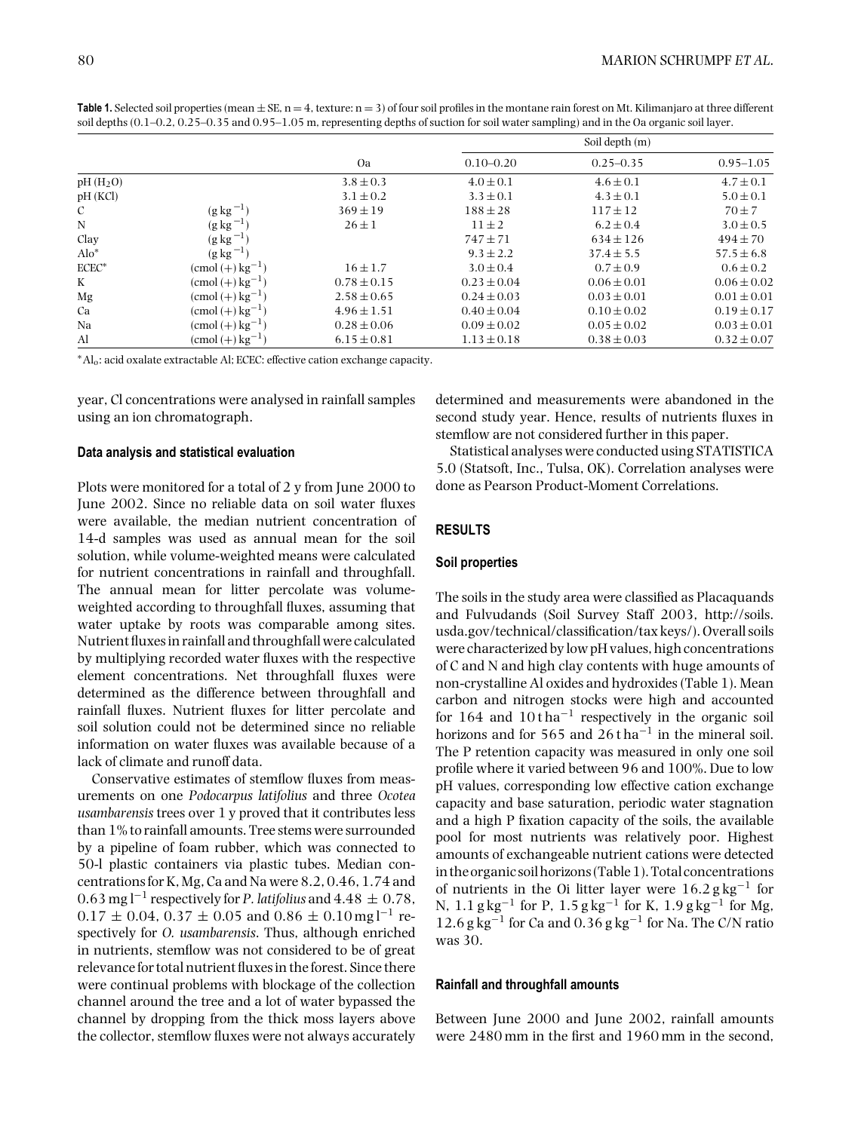|               |                                 | Oa              |                 | Soil depth (m)  |                 |  |  |  |  |
|---------------|---------------------------------|-----------------|-----------------|-----------------|-----------------|--|--|--|--|
|               |                                 |                 | $0.10 - 0.20$   | $0.25 - 0.35$   | $0.95 - 1.05$   |  |  |  |  |
| $pH(H_2O)$    |                                 | $3.8 \pm 0.3$   | $4.0 \pm 0.1$   | $4.6 \pm 0.1$   | $4.7 \pm 0.1$   |  |  |  |  |
| pH(KCl)       |                                 | $3.1 \pm 0.2$   | $3.3 \pm 0.1$   | $4.3 \pm 0.1$   | $5.0 \pm 0.1$   |  |  |  |  |
| $\mathcal{C}$ | $(g \text{ kg}^{-1})$           | $369 \pm 19$    | $188 \pm 28$    | $117 \pm 12$    | $70 \pm 7$      |  |  |  |  |
| N             | $(g \text{ kg}^{-1})$           | $26 \pm 1$      | $11 \pm 2$      | $6.2 \pm 0.4$   | $3.0 \pm 0.5$   |  |  |  |  |
| Clay          | $(g \log^{-1})$                 |                 | $747 \pm 71$    | $634 \pm 126$   | $494 \pm 70$    |  |  |  |  |
| $Alo^*$       | $(g \log^{-1})$                 |                 | $9.3 \pm 2.2$   | $37.4 \pm 5.5$  | $57.5 \pm 6.8$  |  |  |  |  |
| $ECEC*$       | $\pmod{(+)}$ kg <sup>-1</sup> ) | $16 \pm 1.7$    | $3.0 \pm 0.4$   | $0.7 \pm 0.9$   | $0.6 \pm 0.2$   |  |  |  |  |
| K             | $\pmod{(+)}$ kg <sup>-1</sup> ) | $0.78 \pm 0.15$ | $0.23 \pm 0.04$ | $0.06 \pm 0.01$ | $0.06 \pm 0.02$ |  |  |  |  |
| Mg            | $\pmod{(+)}$ kg <sup>-1</sup> ) | $2.58 \pm 0.65$ | $0.24 \pm 0.03$ | $0.03 \pm 0.01$ | $0.01 \pm 0.01$ |  |  |  |  |
| Ca            | $\pmod{(+)}$ kg <sup>-1</sup> ) | $4.96 \pm 1.51$ | $0.40 \pm 0.04$ | $0.10 \pm 0.02$ | $0.19 \pm 0.17$ |  |  |  |  |
| Na            | $\pmod{(+)}$ kg <sup>-1</sup> ) | $0.28 \pm 0.06$ | $0.09 \pm 0.02$ | $0.05 \pm 0.02$ | $0.03 \pm 0.01$ |  |  |  |  |
| Al            | $\pmod{(+)}$ kg <sup>-1</sup> ) | $6.15 \pm 0.81$ | $1.13 \pm 0.18$ | $0.38 \pm 0.03$ | $0.32 \pm 0.07$ |  |  |  |  |

**Table 1.** Selected soil properties (mean  $\pm$  SE, n = 4, texture: n = 3) of four soil profiles in the montane rain forest on Mt. Kilimanjaro at three different soil depths (0.1–0.2, 0.25–0.35 and 0.95–1.05 m, representing depths of suction for soil water sampling) and in the Oa organic soil layer.

<sup>∗</sup>Alo: acid oxalate extractable Al; ECEC: effective cation exchange capacity.

year, Cl concentrations were analysed in rainfall samples using an ion chromatograph.

## **Data analysis and statistical evaluation**

Plots were monitored for a total of 2 y from June 2000 to June 2002. Since no reliable data on soil water fluxes were available, the median nutrient concentration of 14-d samples was used as annual mean for the soil solution, while volume-weighted means were calculated for nutrient concentrations in rainfall and throughfall. The annual mean for litter percolate was volumeweighted according to throughfall fluxes, assuming that water uptake by roots was comparable among sites. Nutrient fluxes in rainfall and throughfall were calculated by multiplying recorded water fluxes with the respective element concentrations. Net throughfall fluxes were determined as the difference between throughfall and rainfall fluxes. Nutrient fluxes for litter percolate and soil solution could not be determined since no reliable information on water fluxes was available because of a lack of climate and runoff data.

Conservative estimates of stemflow fluxes from measurements on one *Podocarpus latifolius* and three *Ocotea usambarensis* trees over 1 y proved that it contributes less than 1% to rainfall amounts. Tree stems were surrounded by a pipeline of foam rubber, which was connected to 50-l plastic containers via plastic tubes. Median concentrations for K, Mg, Ca and Na were 8.2, 0.46, 1.74 and 0.63 mg l−<sup>1</sup> respectively for *P. latifolius* and 4.48 <sup>±</sup> 0.78,  $0.17 \pm 0.04$ ,  $0.37 \pm 0.05$  and  $0.86 \pm 0.10$  mg l<sup>-1</sup> respectively for *O. usambarensis*. Thus, although enriched in nutrients, stemflow was not considered to be of great relevance for total nutrient fluxes in the forest. Since there were continual problems with blockage of the collection channel around the tree and a lot of water bypassed the channel by dropping from the thick moss layers above the collector, stemflow fluxes were not always accurately

determined and measurements were abandoned in the second study year. Hence, results of nutrients fluxes in stemflow are not considered further in this paper.

Statistical analyses were conducted using STATISTICA 5.0 (Statsoft, Inc., Tulsa, OK). Correlation analyses were done as Pearson Product-Moment Correlations.

# **RESULTS**

#### **Soil properties**

The soils in the study area were classified as Placaquands and Fulvudands (Soil Survey Staff 2003, http://soils. usda.gov/technical/classification/tax keys/). Overall soils were characterized by low pH values, high concentrations of C and N and high clay contents with huge amounts of non-crystalline Al oxides and hydroxides (Table 1). Mean carbon and nitrogen stocks were high and accounted for  $164$  and  $10$ tha<sup>-1</sup> respectively in the organic soil horizons and for 565 and 26 t ha<sup>-1</sup> in the mineral soil. The P retention capacity was measured in only one soil profile where it varied between 96 and 100%. Due to low pH values, corresponding low effective cation exchange capacity and base saturation, periodic water stagnation and a high P fixation capacity of the soils, the available pool for most nutrients was relatively poor. Highest amounts of exchangeable nutrient cations were detected in the organic soil horizons (Table 1). Total concentrations of nutrients in the Oi litter layer were  $16.2$  g kg<sup>-1</sup> for N,  $1.1$  g kg<sup>-1</sup> for P,  $1.5$  g kg<sup>-1</sup> for K,  $1.9$  g kg<sup>-1</sup> for Mg,  $12.6$  g kg<sup>-1</sup> for Ca and  $0.36$  g kg<sup>-1</sup> for Na. The C/N ratio was 30.

# **Rainfall and throughfall amounts**

Between June 2000 and June 2002, rainfall amounts were 2480 mm in the first and 1960 mm in the second,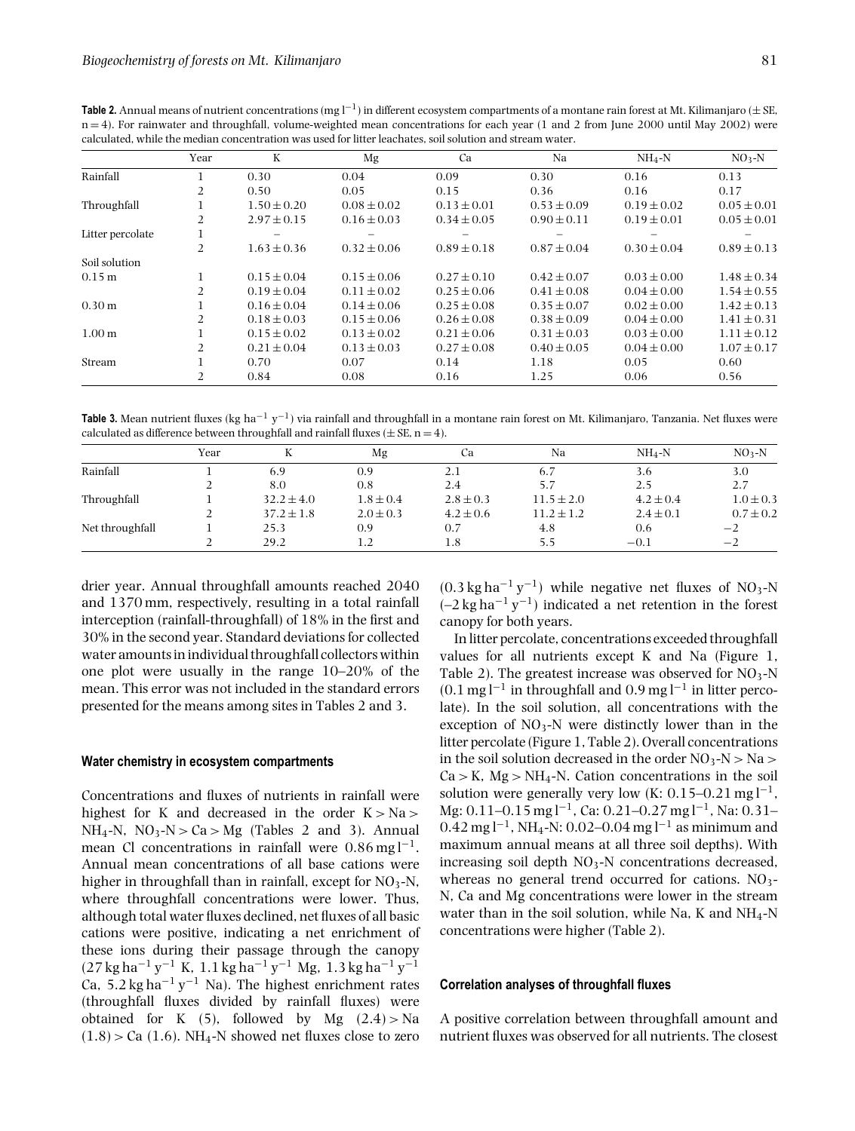|                   | Year           | K               | Mg              | Ca              | Na              | $NH_4-N$        | $NO3-N$         |
|-------------------|----------------|-----------------|-----------------|-----------------|-----------------|-----------------|-----------------|
| Rainfall          |                | 0.30            | 0.04            | 0.09            | 0.30            | 0.16            | 0.13            |
|                   | $\overline{2}$ | 0.50            | 0.05            | 0.15            | 0.36            | 0.16            | 0.17            |
| Throughfall       |                | $1.50 \pm 0.20$ | $0.08 \pm 0.02$ | $0.13 \pm 0.01$ | $0.53 \pm 0.09$ | $0.19 \pm 0.02$ | $0.05 \pm 0.01$ |
|                   | $\overline{2}$ | $2.97 \pm 0.15$ | $0.16 \pm 0.03$ | $0.34 \pm 0.05$ | $0.90 \pm 0.11$ | $0.19 \pm 0.01$ | $0.05 \pm 0.01$ |
| Litter percolate  |                |                 |                 |                 |                 |                 |                 |
|                   | 2              | $1.63 \pm 0.36$ | $0.32 \pm 0.06$ | $0.89 \pm 0.18$ | $0.87 \pm 0.04$ | $0.30 \pm 0.04$ | $0.89 \pm 0.13$ |
| Soil solution     |                |                 |                 |                 |                 |                 |                 |
| 0.15 m            |                | $0.15 \pm 0.04$ | $0.15 \pm 0.06$ | $0.27 \pm 0.10$ | $0.42 \pm 0.07$ | $0.03 \pm 0.00$ | $1.48 \pm 0.34$ |
|                   | 2              | $0.19 \pm 0.04$ | $0.11 \pm 0.02$ | $0.25 \pm 0.06$ | $0.41 \pm 0.08$ | $0.04 \pm 0.00$ | $1.54 \pm 0.55$ |
| 0.30 <sub>m</sub> |                | $0.16 \pm 0.04$ | $0.14 \pm 0.06$ | $0.25 \pm 0.08$ | $0.35 \pm 0.07$ | $0.02 \pm 0.00$ | $1.42 \pm 0.13$ |
|                   | $\overline{2}$ | $0.18 \pm 0.03$ | $0.15 \pm 0.06$ | $0.26 \pm 0.08$ | $0.38 \pm 0.09$ | $0.04 \pm 0.00$ | $1.41 \pm 0.31$ |
| 1.00 <sub>m</sub> |                | $0.15 \pm 0.02$ | $0.13 \pm 0.02$ | $0.21 \pm 0.06$ | $0.31 \pm 0.03$ | $0.03 \pm 0.00$ | $1.11 \pm 0.12$ |
|                   | $\overline{2}$ | $0.21 \pm 0.04$ | $0.13 \pm 0.03$ | $0.27 \pm 0.08$ | $0.40 \pm 0.05$ | $0.04 \pm 0.00$ | $1.07 \pm 0.17$ |
| Stream            |                | 0.70            | 0.07            | 0.14            | 1.18            | 0.05            | 0.60            |
|                   | 2              | 0.84            | 0.08            | 0.16            | 1.25            | 0.06            | 0.56            |

**Table 2.** Annual means of nutrient concentrations (mg l<sup>-1</sup>) in different ecosystem compartments of a montane rain forest at Mt. Kilimanjaro ( $\pm$  SE, n = 4). For rainwater and throughfall, volume-weighted mean concentrations for each year (1 and 2 from June 2000 until May 2002) were

**Table 3.** Mean nutrient fluxes (kg ha−<sup>1</sup> y−1) via rainfall and throughfall in a montane rain forest on Mt. Kilimanjaro, Tanzania. Net fluxes were calculated as difference between throughfall and rainfall fluxes ( $\pm$  SE, n = 4).

|                 | Year | V              | Mg            | Cа            | Na             | $NH_4-N$      | $NO3-N$       |
|-----------------|------|----------------|---------------|---------------|----------------|---------------|---------------|
| Rainfall        |      | 6.9            | 0.9           | 2.1           | 6.7            | 3.6           | 3.0           |
|                 |      | 8.0            | 0.8           | 2.4           | 5.7            | 2.5           | 2.7           |
| Throughfall     |      | $32.2 \pm 4.0$ | $1.8 \pm 0.4$ | $2.8 \pm 0.3$ | $11.5 \pm 2.0$ | $4.2 \pm 0.4$ | $1.0 \pm 0.3$ |
|                 |      | $37.2 \pm 1.8$ | $2.0 \pm 0.3$ | $4.2 \pm 0.6$ | $11.2 \pm 1.2$ | $2.4 \pm 0.1$ | $0.7 \pm 0.2$ |
| Net throughfall |      | 25.3           | 0.9           | 0.7           | 4.8            | 0.6           | $-2$          |
|                 |      | 29.2           | 1.2           | $1.8\,$       | 5.5            | $-0.1$        | $-2$          |

drier year. Annual throughfall amounts reached 2040 and 1370 mm, respectively, resulting in a total rainfall interception (rainfall-throughfall) of 18% in the first and 30% in the second year. Standard deviations for collected water amounts in individual throughfall collectors within one plot were usually in the range 10–20% of the mean. This error was not included in the standard errors presented for the means among sites in Tables 2 and 3.

#### **Water chemistry in ecosystem compartments**

Concentrations and fluxes of nutrients in rainfall were highest for K and decreased in the order  $K > Na$ NH<sub>4</sub>-N, NO<sub>3</sub>-N > Ca > Mg (Tables 2 and 3). Annual mean Cl concentrations in rainfall were  $0.86 \text{ mg} \text{ l}^{-1}$ . Annual mean concentrations of all base cations were higher in throughfall than in rainfall, except for  $NO<sub>3</sub>-N$ , where throughfall concentrations were lower. Thus, although total water fluxes declined, net fluxes of all basic cations were positive, indicating a net enrichment of these ions during their passage through the canopy  $(27 \text{ kg ha}^{-1} \text{ y}^{-1} \text{ K}, 1.1 \text{ kg ha}^{-1} \text{ y}^{-1} \text{ Mg}, 1.3 \text{ kg ha}^{-1} \text{ y}^{-1}$ Ca, 5.2 kg ha<sup>-1</sup> y<sup>-1</sup> Na). The highest enrichment rates (throughfall fluxes divided by rainfall fluxes) were obtained for K (5), followed by Mg  $(2.4) > Na$  $(1.8)$  > Ca  $(1.6)$ . NH<sub>4</sub>-N showed net fluxes close to zero

 $(0.3 \text{ kg ha}^{-1} \text{ y}^{-1})$  while negative net fluxes of NO<sub>3</sub>-N  $(-2 \text{ kg ha}^{-1} \text{ y}^{-1})$  indicated a net retention in the forest canopy for both years.

In litter percolate, concentrations exceeded throughfall values for all nutrients except K and Na (Figure 1, Table 2). The greatest increase was observed for  $NO<sub>3</sub>-N$  $(0.1 \,\mathrm{mg}\,$ l<sup>−1</sup> in throughfall and 0.9 mg l<sup>−1</sup> in litter percolate). In the soil solution, all concentrations with the exception of  $NO<sub>3</sub>$ -N were distinctly lower than in the litter percolate (Figure 1, Table 2). Overall concentrations in the soil solution decreased in the order  $NO_3-N > Na >$  $Ca > K$ , Mg  $> NH<sub>4</sub>-N$ . Cation concentrations in the soil solution were generally very low (K:  $0.15-0.21$  mg l<sup>-1</sup>, Mg: 0.11–0.15 mg l−1, Ca: 0.21–0.27 mg l−1, Na: 0.31–  $0.42$  mg l<sup>-1</sup>, NH<sub>4</sub>-N: 0.02–0.04 mg l<sup>-1</sup> as minimum and maximum annual means at all three soil depths). With increasing soil depth  $NO<sub>3</sub>$ -N concentrations decreased, whereas no general trend occurred for cations.  $NO<sub>3</sub>$ -N, Ca and Mg concentrations were lower in the stream water than in the soil solution, while Na, K and NH4-N concentrations were higher (Table 2).

#### **Correlation analyses of throughfall fluxes**

A positive correlation between throughfall amount and nutrient fluxes was observed for all nutrients. The closest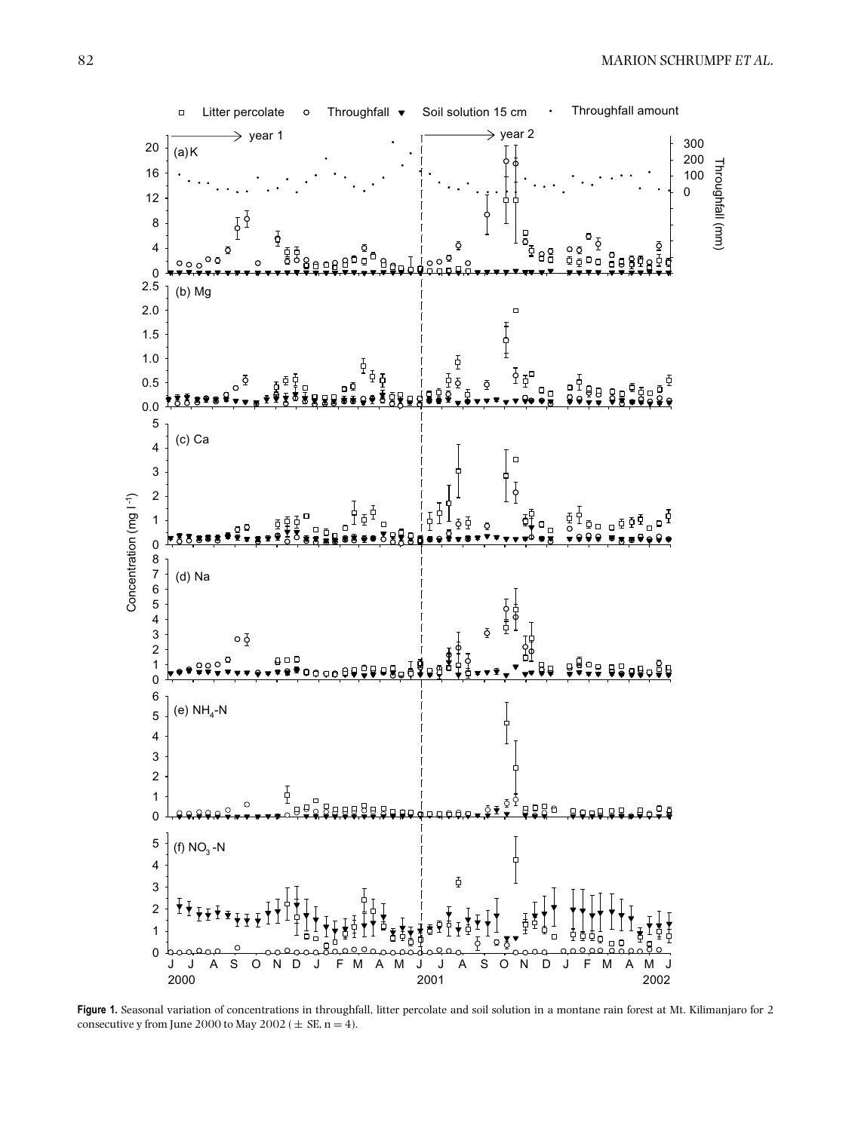

**Figure 1.** Seasonal variation of concentrations in throughfall, litter percolate and soil solution in a montane rain forest at Mt. Kilimanjaro for 2 consecutive y from June 2000 to May 2002 ( $\pm$  SE, n = 4).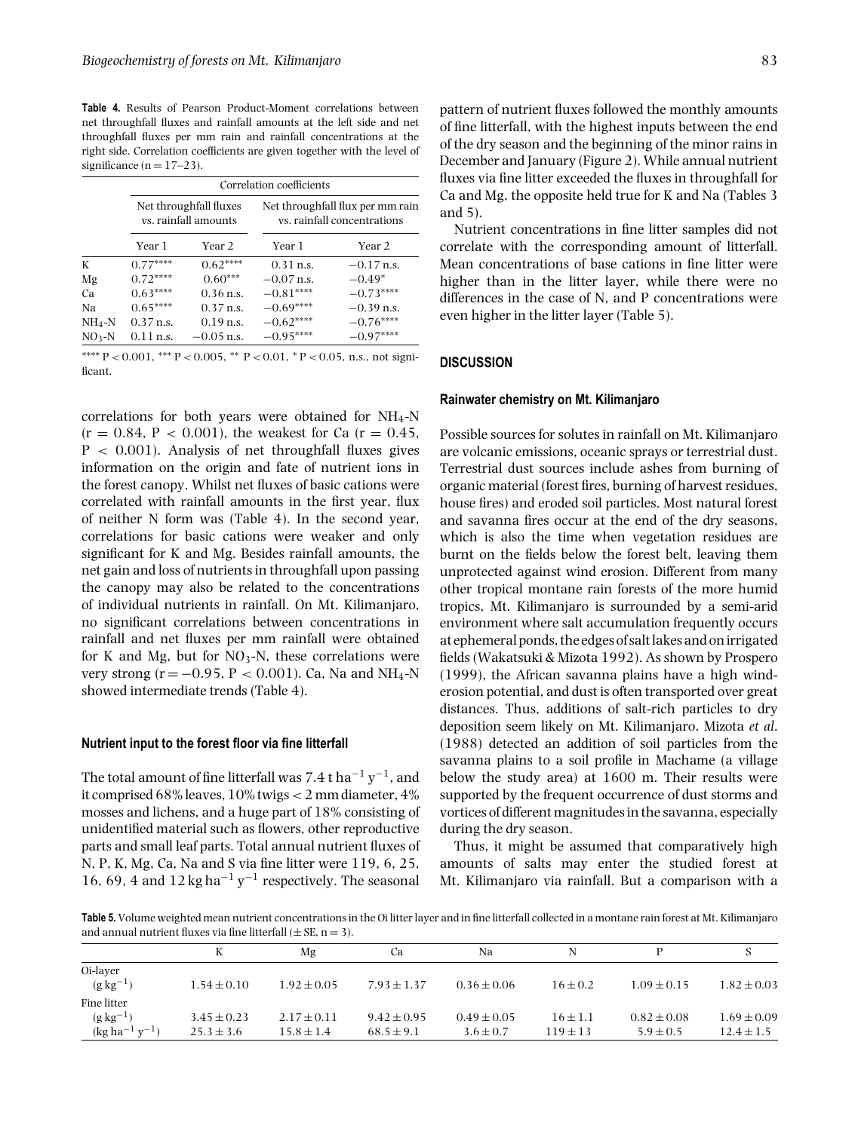**Table 4.** Results of Pearson Product-Moment correlations between net throughfall fluxes and rainfall amounts at the left side and net throughfall fluxes per mm rain and rainfall concentrations at the right side. Correlation coefficients are given together with the level of significance  $(n = 17-23)$ .

|          |                     | Correlation coefficients                       |              |                                                                 |  |  |  |  |  |  |
|----------|---------------------|------------------------------------------------|--------------|-----------------------------------------------------------------|--|--|--|--|--|--|
|          |                     | Net throughfall fluxes<br>vs. rainfall amounts |              | Net throughfall flux per mm rain<br>vs. rainfall concentrations |  |  |  |  |  |  |
|          | Year 1              | Year 2                                         | Year 1       | Year 2                                                          |  |  |  |  |  |  |
| К        | $0.77***$           | $0.62***$                                      | $0.31$ n.s.  | $-0.17$ n.s.                                                    |  |  |  |  |  |  |
| Mg       | $0.72***$           | $0.60***$                                      | $-0.07$ n.s. | $-0.49*$                                                        |  |  |  |  |  |  |
| Ca       | $0.63***$           | $0.36$ n.s.                                    | $-0.81***$   | $-0.73***$                                                      |  |  |  |  |  |  |
| Na       | $0.65***$           | $0.37$ n.s.                                    | $-0.69***$   | $-0.39$ n.s.                                                    |  |  |  |  |  |  |
| $NH_4-N$ | $0.37$ n.s.         | $0.19$ n.s.                                    | $-0.62***$   | $-0.76***$                                                      |  |  |  |  |  |  |
| $NO3-N$  | $0.11 \text{ n.s.}$ | $-0.05$ n.s.                                   | $-0.95***$   | $-0.97***$                                                      |  |  |  |  |  |  |

∗∗∗∗ P < 0.001, ∗∗∗ P < 0.005, ∗∗ P < 0.01, ∗ P < 0.05, n.s., not significant.

correlations for both years were obtained for  $NH_4$ -N  $(r = 0.84, P < 0.001)$ , the weakest for Ca  $(r = 0.45,$  $P < 0.001$ ). Analysis of net throughfall fluxes gives information on the origin and fate of nutrient ions in the forest canopy. Whilst net fluxes of basic cations were correlated with rainfall amounts in the first year, flux of neither N form was (Table 4). In the second year, correlations for basic cations were weaker and only significant for K and Mg. Besides rainfall amounts, the net gain and loss of nutrients in throughfall upon passing the canopy may also be related to the concentrations of individual nutrients in rainfall. On Mt. Kilimanjaro, no significant correlations between concentrations in rainfall and net fluxes per mm rainfall were obtained for K and Mg, but for  $NO<sub>3</sub>-N$ , these correlations were very strong ( $r = -0.95$ ,  $P < 0.001$ ). Ca, Na and NH<sub>4</sub>-N showed intermediate trends (Table 4).

## **Nutrient input to the forest floor via fine litterfall**

The total amount of fine litterfall was 7.4 t ha<sup>-1</sup> y<sup>-1</sup>, and it comprised 68% leaves,  $10\%$  twigs  $<$  2 mm diameter,  $4\%$ mosses and lichens, and a huge part of 18% consisting of unidentified material such as flowers, other reproductive parts and small leaf parts. Total annual nutrient fluxes of N, P, K, Mg, Ca, Na and S via fine litter were 119, 6, 25, 16, 69, 4 and 12 kg ha<sup>-1</sup> y<sup>-1</sup> respectively. The seasonal pattern of nutrient fluxes followed the monthly amounts of fine litterfall, with the highest inputs between the end of the dry season and the beginning of the minor rains in December and January (Figure 2). While annual nutrient fluxes via fine litter exceeded the fluxes in throughfall for Ca and Mg, the opposite held true for K and Na (Tables 3 and 5).

Nutrient concentrations in fine litter samples did not correlate with the corresponding amount of litterfall. Mean concentrations of base cations in fine litter were higher than in the litter layer, while there were no differences in the case of N, and P concentrations were even higher in the litter layer (Table 5).

# **DISCUSSION**

### **Rainwater chemistry on Mt. Kilimanjaro**

Possible sources for solutes in rainfall on Mt. Kilimanjaro are volcanic emissions, oceanic sprays or terrestrial dust. Terrestrial dust sources include ashes from burning of organic material (forest fires, burning of harvest residues, house fires) and eroded soil particles. Most natural forest and savanna fires occur at the end of the dry seasons, which is also the time when vegetation residues are burnt on the fields below the forest belt, leaving them unprotected against wind erosion. Different from many other tropical montane rain forests of the more humid tropics, Mt. Kilimanjaro is surrounded by a semi-arid environment where salt accumulation frequently occurs at ephemeral ponds, the edges of salt lakes and onirrigated fields (Wakatsuki & Mizota 1992). As shown by Prospero (1999), the African savanna plains have a high winderosion potential, and dust is often transported over great distances. Thus, additions of salt-rich particles to dry deposition seem likely on Mt. Kilimanjaro. Mizota *et al*. (1988) detected an addition of soil particles from the savanna plains to a soil profile in Machame (a village below the study area) at 1600 m. Their results were supported by the frequent occurrence of dust storms and vortices of different magnitudes in the savanna, especially during the dry season.

Thus, it might be assumed that comparatively high amounts of salts may enter the studied forest at Mt. Kilimanjaro via rainfall. But a comparison with a

**Table 5.** Volume weighted mean nutrient concentrations in the Oi litter layer and in fine litterfall collected in a montane rain forest at Mt. Kilimanjaro and annual nutrient fluxes via fine litterfall  $(\pm SE, n = 3)$ .

|                       |                 | Mg              | Сa              | Na              | N            |                 |                 |
|-----------------------|-----------------|-----------------|-----------------|-----------------|--------------|-----------------|-----------------|
| Oi-layer              |                 |                 |                 |                 |              |                 |                 |
| $(g \, kg^{-1})$      | $1.54 \pm 0.10$ | $1.92 \pm 0.05$ | $7.93 \pm 1.37$ | $0.36 \pm 0.06$ | $16 \pm 0.2$ | $1.09 \pm 0.15$ | $1.82 \pm 0.03$ |
| Fine litter           |                 |                 |                 |                 |              |                 |                 |
| $(g \text{ kg}^{-1})$ | $3.45 \pm 0.23$ | $2.17 \pm 0.11$ | $9.42 \pm 0.95$ | $0.49 \pm 0.05$ | $16 \pm 1.1$ | $0.82 \pm 0.08$ | $1.69 \pm 0.09$ |
| $(kg ha^{-1} y^{-1})$ | $25.3 \pm 3.6$  | $15.8 \pm 1.4$  | $68.5 \pm 9.1$  | $3.6 \pm 0.7$   | $119 \pm 13$ | $5.9 \pm 0.5$   | $12.4 \pm 1.5$  |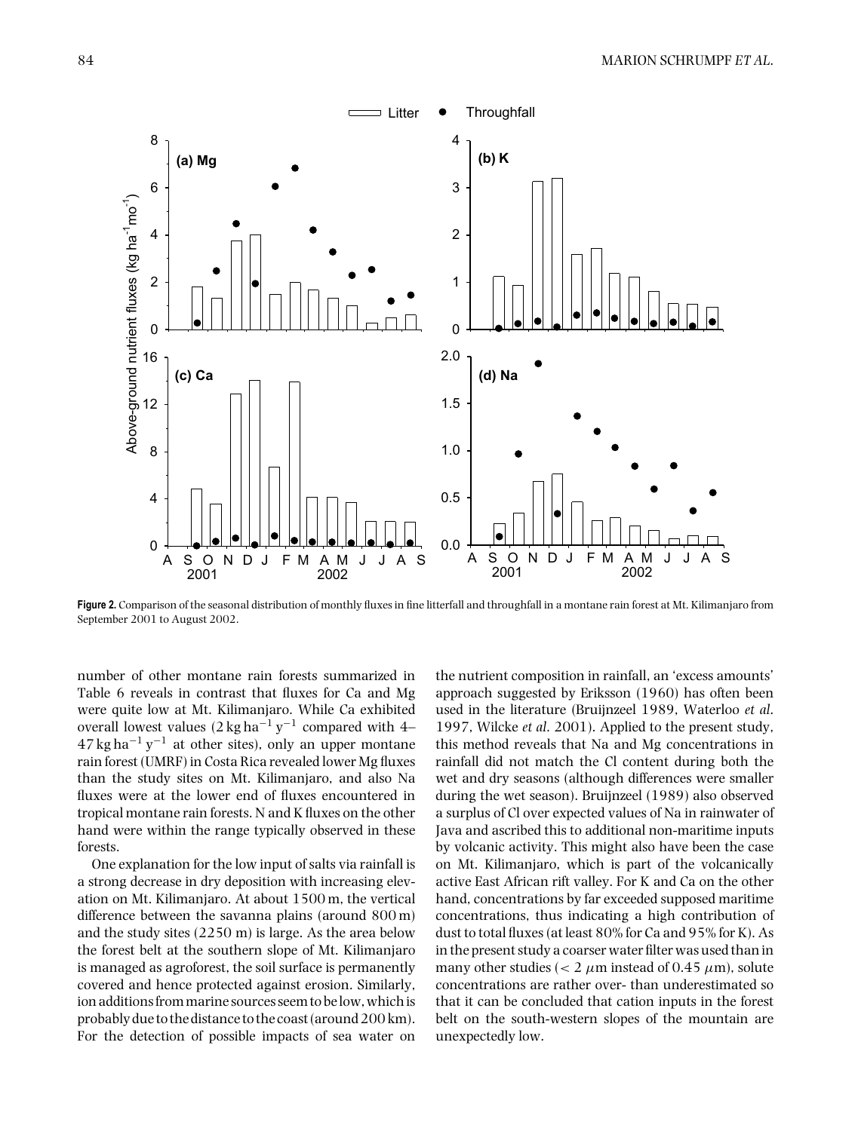

**Figure 2.** Comparison of the seasonal distribution of monthly fluxes in fine litterfall and throughfall in a montane rain forest at Mt. Kilimanjaro from September 2001 to August 2002.

number of other montane rain forests summarized in Table 6 reveals in contrast that fluxes for Ca and Mg were quite low at Mt. Kilimanjaro. While Ca exhibited overall lowest values  $(2 \text{ kg ha}^{-1} \text{ y}^{-1}$  compared with 4–  $47 \text{ kg ha}^{-1} \text{ y}^{-1}$  at other sites), only an upper montane rain forest (UMRF) in Costa Rica revealed lower Mg fluxes than the study sites on Mt. Kilimanjaro, and also Na fluxes were at the lower end of fluxes encountered in tropical montane rain forests. N and K fluxes on the other hand were within the range typically observed in these forests.

One explanation for the low input of salts via rainfall is a strong decrease in dry deposition with increasing elevation on Mt. Kilimanjaro. At about 1500 m, the vertical difference between the savanna plains (around 800 m) and the study sites (2250 m) is large. As the area below the forest belt at the southern slope of Mt. Kilimanjaro is managed as agroforest, the soil surface is permanently covered and hence protected against erosion. Similarly, ion additions from marine sources seem to be low, which is probably due to the distance to the coast (around 200 km). For the detection of possible impacts of sea water on

the nutrient composition in rainfall, an 'excess amounts' approach suggested by Eriksson (1960) has often been used in the literature (Bruijnzeel 1989, Waterloo *et al*. 1997, Wilcke *et al*. 2001). Applied to the present study, this method reveals that Na and Mg concentrations in rainfall did not match the Cl content during both the wet and dry seasons (although differences were smaller during the wet season). Bruijnzeel (1989) also observed a surplus of Cl over expected values of Na in rainwater of Java and ascribed this to additional non-maritime inputs by volcanic activity. This might also have been the case on Mt. Kilimanjaro, which is part of the volcanically active East African rift valley. For K and Ca on the other hand, concentrations by far exceeded supposed maritime concentrations, thus indicating a high contribution of dust to total fluxes (at least 80% for Ca and 95% for K). As in the present study a coarser water filter was used than in many other studies ( $< 2 \mu$ m instead of 0.45  $\mu$ m), solute concentrations are rather over- than underestimated so that it can be concluded that cation inputs in the forest belt on the south-western slopes of the mountain are unexpectedly low.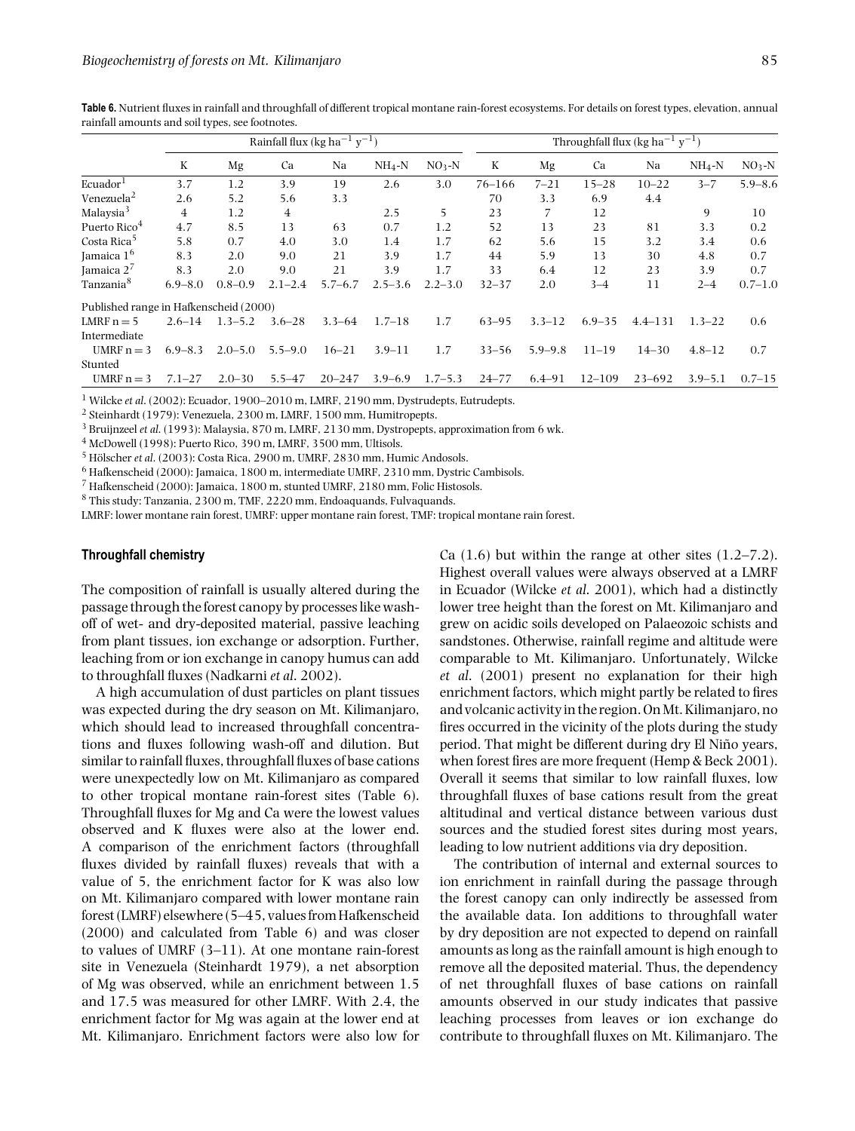|                                        | Rainfall flux (kg ha <sup>-1</sup> y <sup>-1</sup> ) |             |                |             |             |             |           | Throughfall flux (kg ha <sup>-1</sup> $y^{-1}$ ) |            |             |             |             |
|----------------------------------------|------------------------------------------------------|-------------|----------------|-------------|-------------|-------------|-----------|--------------------------------------------------|------------|-------------|-------------|-------------|
|                                        | K                                                    | Mg          | Ca             | Na          | $NH_4-N$    | $NO3-N$     | K         | Mg                                               | Ca         | Na          | $NH_4-N$    | $NO3-N$     |
| Ecuador <sup>1</sup>                   | 3.7                                                  | 1.2         | 3.9            | 19          | 2.6         | 3.0         | 76–166    | $7 - 21$                                         | $15 - 28$  | $10 - 22$   | $3 - 7$     | $5.9 - 8.6$ |
| Venezuela <sup>2</sup>                 | 2.6                                                  | 5.2         | 5.6            | 3.3         |             |             | 70        | 3.3                                              | 6.9        | 4.4         |             |             |
| Malaysia <sup>3</sup>                  | 4                                                    | 1.2         | $\overline{4}$ |             | 2.5         | 5           | 23        |                                                  | 12         |             | 9           | 10          |
| Puerto Rico <sup>4</sup>               | 4.7                                                  | 8.5         | 13             | 63          | 0.7         | 1.2         | 52        | 13                                               | 23         | 81          | 3.3         | 0.2         |
| Costa Rica <sup>5</sup>                | 5.8                                                  | 0.7         | 4.0            | 3.0         | 1.4         | 1.7         | 62        | 5.6                                              | 15         | 3.2         | 3.4         | 0.6         |
| Jamaica 1 <sup>6</sup>                 | 8.3                                                  | 2.0         | 9.0            | 21          | 3.9         | 1.7         | 44        | 5.9                                              | 13         | 30          | 4.8         | 0.7         |
| Jamaica $2^7$                          | 8.3                                                  | 2.0         | 9.0            | 21          | 3.9         | 1.7         | 33        | 6.4                                              | 12         | 23          | 3.9         | 0.7         |
| Tanzania <sup>8</sup>                  | $6.9 - 8.0$                                          | $0.8 - 0.9$ | $2.1 - 2.4$    | $5.7 - 6.7$ | $2.5 - 3.6$ | $2.2 - 3.0$ | $32 - 37$ | 2.0                                              | $3 - 4$    | 11          | $2 - 4$     | $0.7 - 1.0$ |
| Published range in Hafkenscheid (2000) |                                                      |             |                |             |             |             |           |                                                  |            |             |             |             |
| LMRF $n = 5$                           | $2.6 - 14$                                           | $1.3 - 5.2$ | $3.6 - 28$     | $3.3 - 64$  | $1.7 - 18$  | 1.7         | $63 - 95$ | $3.3 - 12$                                       | $6.9 - 35$ | $4.4 - 131$ | $1.3 - 22$  | 0.6         |
| Intermediate                           |                                                      |             |                |             |             |             |           |                                                  |            |             |             |             |
| UMRF $n = 3$                           | $6.9 - 8.3$                                          | $2.0 - 5.0$ | $5.5 - 9.0$    | $16 - 21$   | $3.9 - 11$  | 1.7         | $33 - 56$ | $5.9 - 9.8$                                      | $11 - 19$  | $14 - 30$   | $4.8 - 12$  | 0.7         |
| Stunted                                |                                                      |             |                |             |             |             |           |                                                  |            |             |             |             |
| UMRF $n = 3$                           | $7.1 - 27$                                           | $2.0 - 30$  | $5.5 - 47$     | $20 - 247$  | $3.9 - 6.9$ | $1.7 - 5.3$ | $24 - 77$ | $6.4 - 91$                                       | $12 - 109$ | $23 - 692$  | $3.9 - 5.1$ | $0.7 - 15$  |

**Table 6.** Nutrient fluxes in rainfall and throughfall of different tropical montane rain-forest ecosystems. For details on forest types, elevation, annual rainfall amounts and soil types, see footnotes.

<sup>1</sup> Wilcke *et al*. (2002): Ecuador, 1900–2010 m, LMRF, 2190 mm, Dystrudepts, Eutrudepts.

<sup>2</sup> Steinhardt (1979): Venezuela, 2300 m, LMRF, 1500 mm, Humitropepts.

<sup>3</sup> Bruijnzeel *et al*. (1993): Malaysia, 870 m, LMRF, 2130 mm, Dystropepts, approximation from 6 wk.

 $^4$  McDowell (1998): Puerto Rico, 390 m, LMRF, 3500 mm, Ultisols.

 $^5$  Hölscher et al. (2003): Costa Rica, 2900 m, UMRF, 2830 mm, Humic Andosols.

<sup>6</sup> Hafkenscheid (2000): Jamaica, 1800 m, intermediate UMRF, 2310 mm, Dystric Cambisols.

<sup>7</sup> Hafkenscheid (2000): Jamaica, 1800 m, stunted UMRF, 2180 mm, Folic Histosols.

<sup>8</sup> This study: Tanzania, 2300 m, TMF, 2220 mm, Endoaquands, Fulvaquands.

LMRF: lower montane rain forest, UMRF: upper montane rain forest, TMF: tropical montane rain forest.

## **Throughfall chemistry**

The composition of rainfall is usually altered during the passage through the forest canopy by processes like washoff of wet- and dry-deposited material, passive leaching from plant tissues, ion exchange or adsorption. Further, leaching from or ion exchange in canopy humus can add to throughfall fluxes (Nadkarni *et al*. 2002).

A high accumulation of dust particles on plant tissues was expected during the dry season on Mt. Kilimanjaro, which should lead to increased throughfall concentrations and fluxes following wash-off and dilution. But similar to rainfall fluxes, throughfall fluxes of base cations were unexpectedly low on Mt. Kilimanjaro as compared to other tropical montane rain-forest sites (Table 6). Throughfall fluxes for Mg and Ca were the lowest values observed and K fluxes were also at the lower end. A comparison of the enrichment factors (throughfall fluxes divided by rainfall fluxes) reveals that with a value of 5, the enrichment factor for K was also low on Mt. Kilimanjaro compared with lower montane rain forest (LMRF) elsewhere (5–45, values from Hafkenscheid (2000) and calculated from Table 6) and was closer to values of UMRF (3–11). At one montane rain-forest site in Venezuela (Steinhardt 1979), a net absorption of Mg was observed, while an enrichment between 1.5 and 17.5 was measured for other LMRF. With 2.4, the enrichment factor for Mg was again at the lower end at Mt. Kilimanjaro. Enrichment factors were also low for

Ca  $(1.6)$  but within the range at other sites  $(1.2–7.2)$ . Highest overall values were always observed at a LMRF in Ecuador (Wilcke *et al*. 2001), which had a distinctly lower tree height than the forest on Mt. Kilimanjaro and grew on acidic soils developed on Palaeozoic schists and sandstones. Otherwise, rainfall regime and altitude were comparable to Mt. Kilimanjaro. Unfortunately, Wilcke *et al*. (2001) present no explanation for their high enrichment factors, which might partly be related to fires and volcanic activityin the region.OnMt. Kilimanjaro, no fires occurred in the vicinity of the plots during the study period. That might be different during dry El Niño years, when forest fires are more frequent (Hemp & Beck 2001). Overall it seems that similar to low rainfall fluxes, low throughfall fluxes of base cations result from the great altitudinal and vertical distance between various dust sources and the studied forest sites during most years, leading to low nutrient additions via dry deposition.

The contribution of internal and external sources to ion enrichment in rainfall during the passage through the forest canopy can only indirectly be assessed from the available data. Ion additions to throughfall water by dry deposition are not expected to depend on rainfall amounts as long as the rainfall amount is high enough to remove all the deposited material. Thus, the dependency of net throughfall fluxes of base cations on rainfall amounts observed in our study indicates that passive leaching processes from leaves or ion exchange do contribute to throughfall fluxes on Mt. Kilimanjaro. The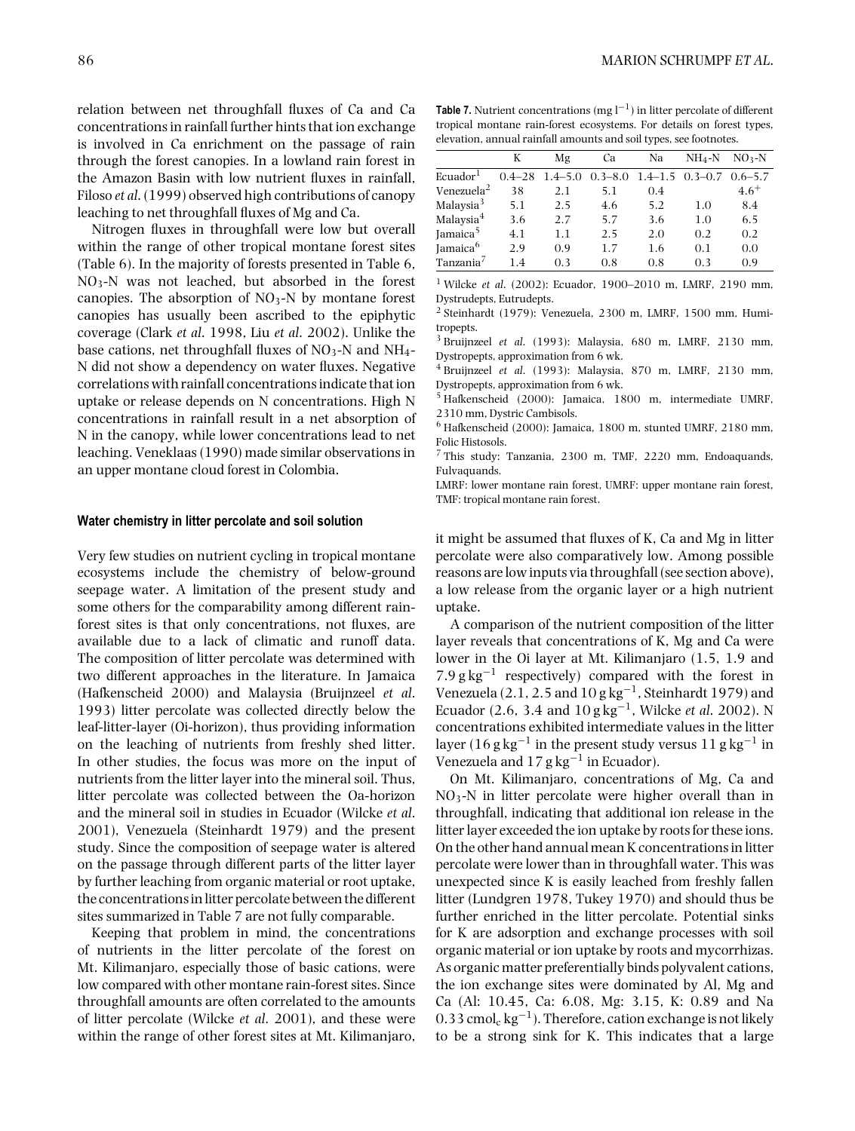relation between net throughfall fluxes of Ca and Ca concentrations in rainfall further hints that ion exchange is involved in Ca enrichment on the passage of rain through the forest canopies. In a lowland rain forest in the Amazon Basin with low nutrient fluxes in rainfall, Filoso *et al*. (1999) observed high contributions of canopy leaching to net throughfall fluxes of Mg and Ca.

Nitrogen fluxes in throughfall were low but overall within the range of other tropical montane forest sites (Table 6). In the majority of forests presented in Table 6, NO3-N was not leached, but absorbed in the forest canopies. The absorption of  $NO<sub>3</sub>$ -N by montane forest canopies has usually been ascribed to the epiphytic coverage (Clark *et al*. 1998, Liu *et al*. 2002). Unlike the base cations, net throughfall fluxes of  $NO<sub>3</sub>$ -N and  $NH<sub>4</sub>$ -N did not show a dependency on water fluxes. Negative correlations with rainfall concentrations indicate that ion uptake or release depends on N concentrations. High N concentrations in rainfall result in a net absorption of N in the canopy, while lower concentrations lead to net leaching. Veneklaas (1990) made similar observations in an upper montane cloud forest in Colombia.

#### **Water chemistry in litter percolate and soil solution**

Very few studies on nutrient cycling in tropical montane ecosystems include the chemistry of below-ground seepage water. A limitation of the present study and some others for the comparability among different rainforest sites is that only concentrations, not fluxes, are available due to a lack of climatic and runoff data. The composition of litter percolate was determined with two different approaches in the literature. In Jamaica (Hafkenscheid 2000) and Malaysia (Bruijnzeel *et al*. 1993) litter percolate was collected directly below the leaf-litter-layer (Oi-horizon), thus providing information on the leaching of nutrients from freshly shed litter. In other studies, the focus was more on the input of nutrients from the litter layer into the mineral soil. Thus, litter percolate was collected between the Oa-horizon and the mineral soil in studies in Ecuador (Wilcke *et al*. 2001), Venezuela (Steinhardt 1979) and the present study. Since the composition of seepage water is altered on the passage through different parts of the litter layer by further leaching from organic material or root uptake, the concentrations in litter percolate between the different sites summarized in Table 7 are not fully comparable.

Keeping that problem in mind, the concentrations of nutrients in the litter percolate of the forest on Mt. Kilimanjaro, especially those of basic cations, were low compared with other montane rain-forest sites. Since throughfall amounts are often correlated to the amounts of litter percolate (Wilcke *et al*. 2001), and these were within the range of other forest sites at Mt. Kilimanjaro,

**Table 7.** Nutrient concentrations (mg  $l^{-1}$ ) in litter percolate of different tropical montane rain-forest ecosystems. For details on forest types, elevation, annual rainfall amounts and soil types, see footnotes.

|                        | K          | Mg          | Ca          | Na                  | $NH_4-N$ | $NO3-N$     |
|------------------------|------------|-------------|-------------|---------------------|----------|-------------|
| Ecuador <sup>1</sup>   | $0.4 - 28$ | $1.4 - 5.0$ | $0.3 - 8.0$ | $1.4 - 1.5$ 0.3-0.7 |          | $0.6 - 5.7$ |
| Venezuela <sup>2</sup> | 38         | 2.1         | 5.1         | 0.4                 |          | $4.6^{+}$   |
| Malaysia <sup>3</sup>  | 5.1        | 2.5         | 4.6         | 5.2                 | 1.0      | 8.4         |
| Malaysia <sup>4</sup>  | 3.6        | 2.7         | 5.7         | 3.6                 | 1.0      | 6.5         |
| Jamaica <sup>5</sup>   | 4.1        | 1.1         | 2.5         | 2.0                 | 0.2      | 0.2         |
| Jamaica <sup>6</sup>   | 2.9        | 0.9         | 1.7         | 1.6                 | 0.1      | 0.0         |
| Tanzania <sup>7</sup>  | 1.4        | 0.3         | 0.8         | 0.8                 | 0.3      | 0.9         |

<sup>1</sup> Wilcke *et al*. (2002): Ecuador, 1900–2010 m, LMRF, 2190 mm, Dystrudepts, Eutrudepts.

 $2$  Steinhardt (1979): Venezuela, 2300 m, LMRF, 1500 mm, Humitropepts.

<sup>3</sup> Bruijnzeel *et al*. (1993): Malaysia, 680 m, LMRF, 2130 mm, Dystropepts, approximation from 6 wk.

<sup>4</sup> Bruijnzeel *et al*. (1993): Malaysia, 870 m, LMRF, 2130 mm, Dystropepts, approximation from 6 wk.

<sup>5</sup> Hafkenscheid (2000): Jamaica, 1800 m, intermediate UMRF, 2310 mm, Dystric Cambisols.

 $^6$  Hafkenscheid (2000): Jamaica, 1800 m, stunted UMRF, 2180 mm, Folic Histosols.

<sup>7</sup> This study: Tanzania, 2300 m, TMF, 2220 mm, Endoaquands, Fulvaquands.

LMRF: lower montane rain forest, UMRF: upper montane rain forest, TMF: tropical montane rain forest.

it might be assumed that fluxes of K, Ca and Mg in litter percolate were also comparatively low. Among possible reasons are low inputs via throughfall (see section above), a low release from the organic layer or a high nutrient uptake.

A comparison of the nutrient composition of the litter layer reveals that concentrations of K, Mg and Ca were lower in the Oi layer at Mt. Kilimanjaro (1.5, 1.9 and 7.9 g kg<sup>-1</sup> respectively) compared with the forest in Venezuela (2.1, 2.5 and  $10$  g  $\text{kg}^{-1}$ , Steinhardt 1979) and Ecuador (2.6, 3.4 and 10 g kg−1, Wilcke *et al*. 2002). N concentrations exhibited intermediate values in the litter layer (16 g kg<sup>-1</sup> in the present study versus 11 g kg<sup>-1</sup> in Venezuela and  $17$  g kg<sup>-1</sup> in Ecuador).

On Mt. Kilimanjaro, concentrations of Mg, Ca and  $NO<sub>3</sub>-N$  in litter percolate were higher overall than in throughfall, indicating that additional ion release in the litter layer exceeded the ion uptake by roots for these ions. On the other hand annual mean K concentrations in litter percolate were lower than in throughfall water. This was unexpected since K is easily leached from freshly fallen litter (Lundgren 1978, Tukey 1970) and should thus be further enriched in the litter percolate. Potential sinks for K are adsorption and exchange processes with soil organic material or ion uptake by roots and mycorrhizas. As organic matter preferentially binds polyvalent cations, the ion exchange sites were dominated by Al, Mg and Ca (Al: 10.45, Ca: 6.08, Mg: 3.15, K: 0.89 and Na 0.33 cmol<sub>c</sub> kg<sup>-1</sup>). Therefore, cation exchange is not likely to be a strong sink for K. This indicates that a large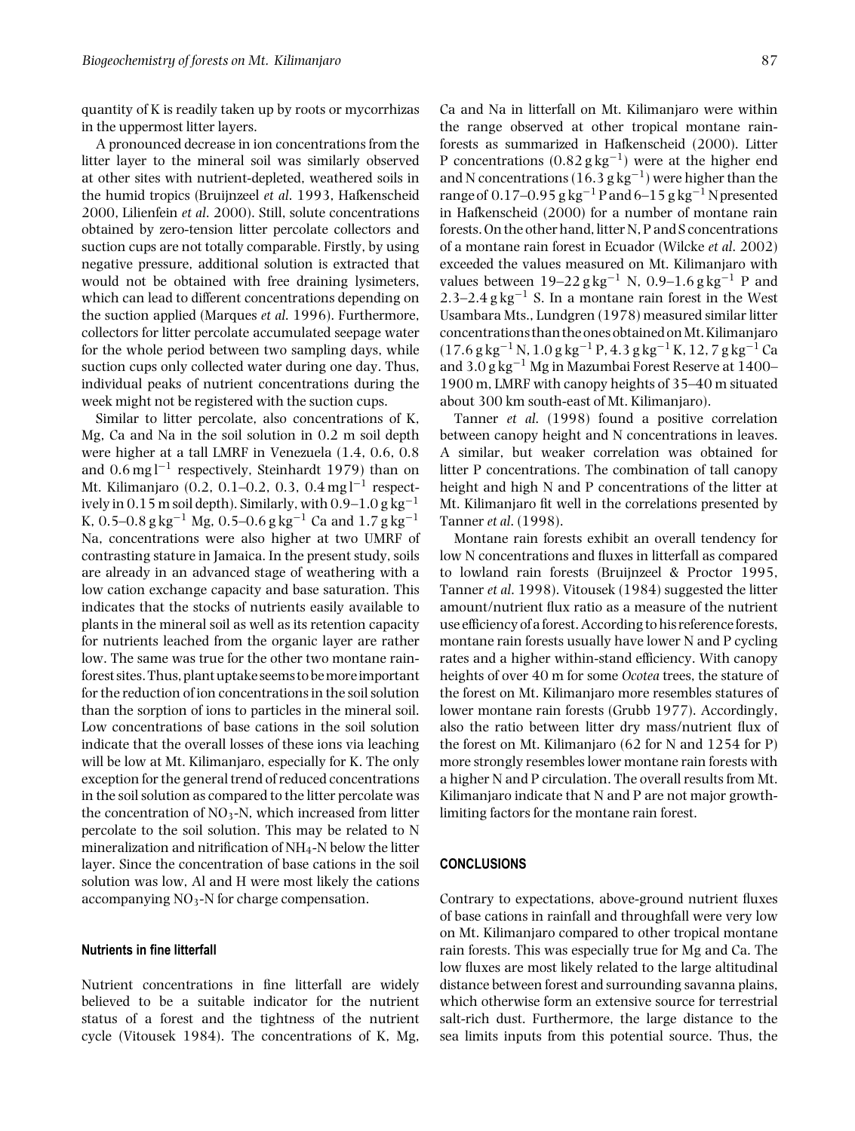quantity of K is readily taken up by roots or mycorrhizas in the uppermost litter layers.

A pronounced decrease in ion concentrations from the litter layer to the mineral soil was similarly observed at other sites with nutrient-depleted, weathered soils in the humid tropics (Bruijnzeel *et al*. 1993, Hafkenscheid 2000, Lilienfein *et al*. 2000). Still, solute concentrations obtained by zero-tension litter percolate collectors and suction cups are not totally comparable. Firstly, by using negative pressure, additional solution is extracted that would not be obtained with free draining lysimeters, which can lead to different concentrations depending on the suction applied (Marques *et al*. 1996). Furthermore, collectors for litter percolate accumulated seepage water for the whole period between two sampling days, while suction cups only collected water during one day. Thus, individual peaks of nutrient concentrations during the week might not be registered with the suction cups.

Similar to litter percolate, also concentrations of K, Mg, Ca and Na in the soil solution in 0.2 m soil depth were higher at a tall LMRF in Venezuela (1.4, 0.6, 0.8 and  $0.6 \text{ mg} \text{ l}^{-1}$  respectively, Steinhardt 1979) than on Mt. Kilimanjaro (0.2, 0.1–0.2, 0.3, 0.4 mg l<sup>-1</sup> respectively in  $0.15$  m soil depth). Similarly, with  $0.9-1.0$  g kg<sup>-1</sup> K, 0.5–0.8 g kg<sup>-1</sup> Mg, 0.5–0.6 g kg<sup>-1</sup> Ca and 1.7 g kg<sup>-1</sup> Na, concentrations were also higher at two UMRF of contrasting stature in Jamaica. In the present study, soils are already in an advanced stage of weathering with a low cation exchange capacity and base saturation. This indicates that the stocks of nutrients easily available to plants in the mineral soil as well as its retention capacity for nutrients leached from the organic layer are rather low. The same was true for the other two montane rainforest sites. Thus, plant uptake seems to bemoreimportant for the reduction of ion concentrations in the soil solution than the sorption of ions to particles in the mineral soil. Low concentrations of base cations in the soil solution indicate that the overall losses of these ions via leaching will be low at Mt. Kilimanjaro, especially for K. The only exception for the general trend of reduced concentrations in the soil solution as compared to the litter percolate was the concentration of  $NO<sub>3</sub>$ -N, which increased from litter percolate to the soil solution. This may be related to N mineralization and nitrification of NH4-N below the litter layer. Since the concentration of base cations in the soil solution was low, Al and H were most likely the cations accompanying  $NO<sub>3</sub>$ -N for charge compensation.

## **Nutrients in fine litterfall**

Nutrient concentrations in fine litterfall are widely believed to be a suitable indicator for the nutrient status of a forest and the tightness of the nutrient cycle (Vitousek 1984). The concentrations of K, Mg,

Ca and Na in litterfall on Mt. Kilimanjaro were within the range observed at other tropical montane rainforests as summarized in Hafkenscheid (2000). Litter P concentrations  $(0.82 \text{ g kg}^{-1})$  were at the higher end and N concentrations (16.3 g kg<sup>-1</sup>) were higher than the range of  $0.17-0.95$  g kg<sup>-1</sup> P and  $6-15$  g kg<sup>-1</sup> N presented in Hafkenscheid (2000) for a number of montane rain forests. On the other hand, litter N, P and S concentrations of a montane rain forest in Ecuador (Wilcke *et al*. 2002) exceeded the values measured on Mt. Kilimanjaro with values between 19–22 g kg<sup>-1</sup> N, 0.9–1.6 g kg<sup>-1</sup> P and 2.3–2.4 g kg<sup>-1</sup> S. In a montane rain forest in the West Usambara Mts., Lundgren (1978) measured similar litter concentrations than the ones obtained onMt.Kilimanjaro  $(17.6$  g kg<sup>-1</sup> N, 1.0 g kg<sup>-1</sup> P, 4.3 g kg<sup>-1</sup> K, 12, 7 g kg<sup>-1</sup> Ca and  $3.0$  g kg<sup>-1</sup> Mg in Mazumbai Forest Reserve at 1400– 1900 m, LMRF with canopy heights of 35–40 m situated about 300 km south-east of Mt. Kilimanjaro).

Tanner *et al*. (1998) found a positive correlation between canopy height and N concentrations in leaves. A similar, but weaker correlation was obtained for litter P concentrations. The combination of tall canopy height and high N and P concentrations of the litter at Mt. Kilimanjaro fit well in the correlations presented by Tanner *et al*. (1998).

Montane rain forests exhibit an overall tendency for low N concentrations and fluxes in litterfall as compared to lowland rain forests (Bruijnzeel & Proctor 1995, Tanner *et al*. 1998). Vitousek (1984) suggested the litter amount/nutrient flux ratio as a measure of the nutrient use efficiency of a forest. According to his reference forests, montane rain forests usually have lower N and P cycling rates and a higher within-stand efficiency. With canopy heights of over 40 m for some *Ocotea* trees, the stature of the forest on Mt. Kilimanjaro more resembles statures of lower montane rain forests (Grubb 1977). Accordingly, also the ratio between litter dry mass/nutrient flux of the forest on Mt. Kilimanjaro (62 for N and 1254 for P) more strongly resembles lower montane rain forests with a higher N and P circulation. The overall results from Mt. Kilimanjaro indicate that N and P are not major growthlimiting factors for the montane rain forest.

# **CONCLUSIONS**

Contrary to expectations, above-ground nutrient fluxes of base cations in rainfall and throughfall were very low on Mt. Kilimanjaro compared to other tropical montane rain forests. This was especially true for Mg and Ca. The low fluxes are most likely related to the large altitudinal distance between forest and surrounding savanna plains, which otherwise form an extensive source for terrestrial salt-rich dust. Furthermore, the large distance to the sea limits inputs from this potential source. Thus, the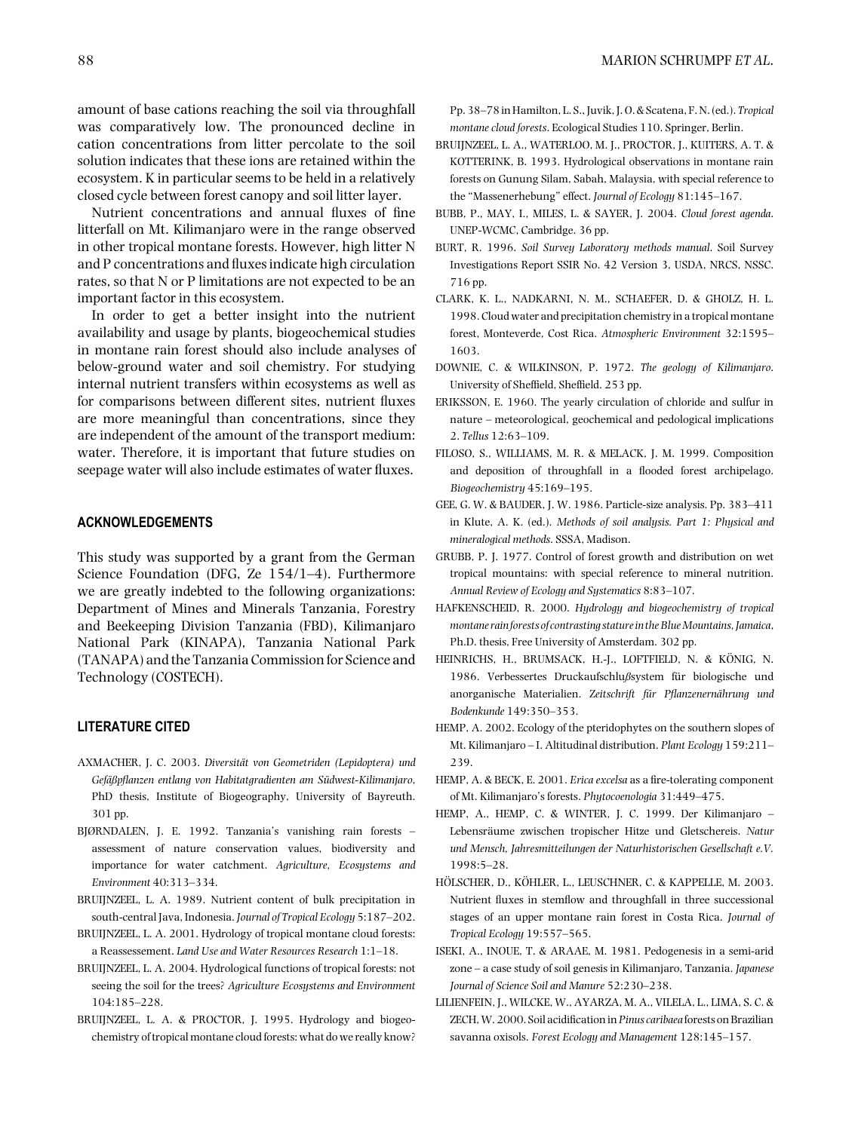amount of base cations reaching the soil via throughfall was comparatively low. The pronounced decline in cation concentrations from litter percolate to the soil solution indicates that these ions are retained within the ecosystem. K in particular seems to be held in a relatively closed cycle between forest canopy and soil litter layer.

Nutrient concentrations and annual fluxes of fine litterfall on Mt. Kilimanjaro were in the range observed in other tropical montane forests. However, high litter N and P concentrations and fluxes indicate high circulation rates, so that N or P limitations are not expected to be an important factor in this ecosystem.

In order to get a better insight into the nutrient availability and usage by plants, biogeochemical studies in montane rain forest should also include analyses of below-ground water and soil chemistry. For studying internal nutrient transfers within ecosystems as well as for comparisons between different sites, nutrient fluxes are more meaningful than concentrations, since they are independent of the amount of the transport medium: water. Therefore, it is important that future studies on seepage water will also include estimates of water fluxes.

# **ACKNOWLEDGEMENTS**

This study was supported by a grant from the German Science Foundation (DFG, Ze 154/1–4). Furthermore we are greatly indebted to the following organizations: Department of Mines and Minerals Tanzania, Forestry and Beekeeping Division Tanzania (FBD), Kilimanjaro National Park (KINAPA), Tanzania National Park (TANAPA) and the Tanzania Commission for Science and Technology (COSTECH).

## **LITERATURE CITED**

- AXMACHER, J. C. 2003. *Diversitat von Geometriden (Lepidoptera) und ¨ Gefa¨ßpflanzen entlang von Habitatgradienten am Sudwest-Kilimanjaro ¨* , PhD thesis, Institute of Biogeography, University of Bayreuth. 301 pp.
- BJØRNDALEN, J. E. 1992. Tanzania's vanishing rain forests assessment of nature conservation values, biodiversity and importance for water catchment. *Agriculture, Ecosystems and Environment* 40:313–334.
- BRUIJNZEEL, L. A. 1989. Nutrient content of bulk precipitation in south-central Java, Indonesia. *Journal of Tropical Ecology* 5:187–202.
- BRUIJNZEEL, L. A. 2001. Hydrology of tropical montane cloud forests: a Reassessement. *Land Use and Water Resources Research* 1:1–18.
- BRUIJNZEEL, L. A. 2004. Hydrological functions of tropical forests: not seeing the soil for the trees? *Agriculture Ecosystems and Environment* 104:185–228.
- BRUIJNZEEL, L. A. & PROCTOR, J. 1995. Hydrology and biogeochemistry of tropical montane cloud forests: what do we really know?

Pp. 38–78 in Hamilton, L. S., Juvik, J. O. & Scatena, F. N. (ed.). *Tropical montane cloud forests*. Ecological Studies 110. Springer, Berlin.

- BRUIJNZEEL, L. A., WATERLOO, M. J., PROCTOR, J., KUITERS, A. T. & KOTTERINK, B. 1993. Hydrological observations in montane rain forests on Gunung Silam, Sabah, Malaysia, with special reference to the "Massenerhebung" effect. *Journal of Ecology* 81:145–167.
- BUBB, P., MAY, I., MILES, L. & SAYER, J. 2004. *Cloud forest agenda*. UNEP-WCMC, Cambridge. 36 pp.
- BURT, R. 1996. *Soil Survey Laboratory methods manual*. Soil Survey Investigations Report SSIR No. 42 Version 3, USDA, NRCS, NSSC. 716 pp.
- CLARK, K. L., NADKARNI, N. M., SCHAEFER, D. & GHOLZ, H. L. 1998. Cloud water and precipitation chemistry in a tropical montane forest, Monteverde, Cost Rica. *Atmospheric Environment* 32:1595– 1603.
- DOWNIE, C. & WILKINSON, P. 1972. *The geology of Kilimanjaro*. University of Sheffield, Sheffield. 253 pp.
- ERIKSSON, E. 1960. The yearly circulation of chloride and sulfur in nature – meteorological, geochemical and pedological implications 2. *Tellus* 12:63–109.
- FILOSO, S., WILLIAMS, M. R. & MELACK, J. M. 1999. Composition and deposition of throughfall in a flooded forest archipelago. *Biogeochemistry* 45:169–195.
- GEE, G. W. & BAUDER, J. W. 1986. Particle-size analysis. Pp. 383–411 in Klute, A. K. (ed.). *Methods of soil analysis. Part 1: Physical and mineralogical methods*. SSSA, Madison.
- GRUBB, P. J. 1977. Control of forest growth and distribution on wet tropical mountains: with special reference to mineral nutrition. *Annual Review of Ecology and Systematics* 8:83–107.
- HAFKENSCHEID, R. 2000. *Hydrology and biogeochemistry of tropical montane rainforests of contrasting staturein theBlueMountains, Jamaica*, Ph.D. thesis, Free University of Amsterdam. 302 pp.
- HEINRICHS, H., BRUMSACK, H.-J., LOFTFIELD, N. & KÖNIG, N. 1986. Verbessertes Druckaufschlußsystem für biologische und anorganische Materialien. *Zeitschrift fur Pflanzenern ¨ ahrung und ¨ Bodenkunde* 149:350–353.
- HEMP, A. 2002. Ecology of the pteridophytes on the southern slopes of Mt. Kilimanjaro – I. Altitudinal distribution. *Plant Ecology* 159:211– 239.
- HEMP, A. & BECK, E. 2001. *Erica excelsa* as a fire-tolerating component of Mt. Kilimanjaro's forests. *Phytocoenologia* 31:449–475.
- HEMP, A., HEMP, C. & WINTER, J. C. 1999. Der Kilimanjaro Lebensräume zwischen tropischer Hitze und Gletschereis. Natur *und Mensch, Jahresmitteilungen der Naturhistorischen Gesellschaft e.V.* 1998:5–28.
- HÖLSCHER, D., KÖHLER, L., LEUSCHNER, C. & KAPPELLE, M. 2003. Nutrient fluxes in stemflow and throughfall in three successional stages of an upper montane rain forest in Costa Rica. *Journal of Tropical Ecology* 19:557–565.
- ISEKI, A., INOUE, T. & ARAAE, M. 1981. Pedogenesis in a semi-arid zone – a case study of soil genesis in Kilimanjaro, Tanzania. *Japanese Journal of Science Soil and Manure* 52:230–238.
- LILIENFEIN, J., WILCKE, W., AYARZA, M. A., VILELA, L., LIMA, S. C. & ZECH,W. 2000. Soil acidification in*Pinus caribaea* forests on Brazilian savanna oxisols. *Forest Ecology and Management* 128:145–157.